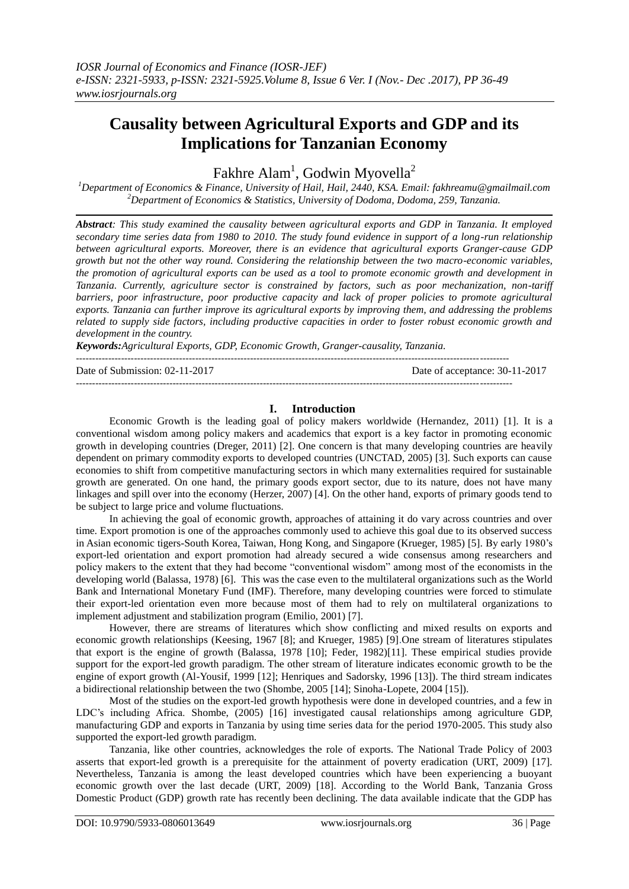# **Causality between Agricultural Exports and GDP and its Implications for Tanzanian Economy**

Fakhre Alam<sup>1</sup>, Godwin Myovella<sup>2</sup>

*<sup>1</sup>Department of Economics & Finance, University of Hail, Hail, 2440, KSA. Email: fakhreamu@gmailmail.com <sup>2</sup>Department of Economics & Statistics, University of Dodoma, Dodoma, 259, Tanzania.*

*Abstract: This study examined the causality between agricultural exports and GDP in Tanzania. It employed secondary time series data from 1980 to 2010. The study found evidence in support of a long-run relationship between agricultural exports. Moreover, there is an evidence that agricultural exports Granger-cause GDP growth but not the other way round. Considering the relationship between the two macro-economic variables, the promotion of agricultural exports can be used as a tool to promote economic growth and development in Tanzania. Currently, agriculture sector is constrained by factors, such as poor mechanization, non-tariff barriers, poor infrastructure, poor productive capacity and lack of proper policies to promote agricultural exports. Tanzania can further improve its agricultural exports by improving them, and addressing the problems related to supply side factors, including productive capacities in order to foster robust economic growth and development in the country.*

*Keywords:Agricultural Exports, GDP, Economic Growth, Granger-causality, Tanzania.*

Date of Submission: 02-11-2017 Date of acceptance: 30-11-2017

# **I. Introduction**

---------------------------------------------------------------------------------------------------------------------------------------

Economic Growth is the leading goal of policy makers worldwide (Hernandez, 2011) [1]. It is a conventional wisdom among policy makers and academics that export is a key factor in promoting economic growth in developing countries (Dreger, 2011) [2]. One concern is that many developing countries are heavily dependent on primary commodity exports to developed countries (UNCTAD, 2005) [3]. Such exports can cause economies to shift from competitive manufacturing sectors in which many externalities required for sustainable growth are generated. On one hand, the primary goods export sector, due to its nature, does not have many linkages and spill over into the economy (Herzer, 2007) [4]. On the other hand, exports of primary goods tend to be subject to large price and volume fluctuations.

In achieving the goal of economic growth, approaches of attaining it do vary across countries and over time. Export promotion is one of the approaches commonly used to achieve this goal due to its observed success in Asian economic tigers-South Korea, Taiwan, Hong Kong, and Singapore (Krueger, 1985) [5]. By early 1980's export-led orientation and export promotion had already secured a wide consensus among researchers and policy makers to the extent that they had become "conventional wisdom" among most of the economists in the developing world (Balassa, 1978) [6]. This was the case even to the multilateral organizations such as the World Bank and International Monetary Fund (IMF). Therefore, many developing countries were forced to stimulate their export-led orientation even more because most of them had to rely on multilateral organizations to implement adjustment and stabilization program (Emilio, 2001) [7].

However, there are streams of literatures which show conflicting and mixed results on exports and economic growth relationships (Keesing, 1967 [8]; and Krueger, 1985) [9].One stream of literatures stipulates that export is the engine of growth (Balassa, 1978 [10]; Feder, 1982)[11]. These empirical studies provide support for the export-led growth paradigm. The other stream of literature indicates economic growth to be the engine of export growth (Al-Yousif, 1999 [12]; Henriques and Sadorsky, 1996 [13]). The third stream indicates a bidirectional relationship between the two (Shombe, 2005 [14]; Sinoha-Lopete, 2004 [15]).

Most of the studies on the export-led growth hypothesis were done in developed countries, and a few in LDC's including Africa. Shombe, (2005) [16] investigated causal relationships among agriculture GDP, manufacturing GDP and exports in Tanzania by using time series data for the period 1970-2005. This study also supported the export-led growth paradigm.

Tanzania, like other countries, acknowledges the role of exports. The National Trade Policy of 2003 asserts that export-led growth is a prerequisite for the attainment of poverty eradication (URT, 2009) [17]. Nevertheless, Tanzania is among the least developed countries which have been experiencing a buoyant economic growth over the last decade (URT, 2009) [18]. According to the World Bank, Tanzania Gross Domestic Product (GDP) growth rate has recently been declining. The data available indicate that the GDP has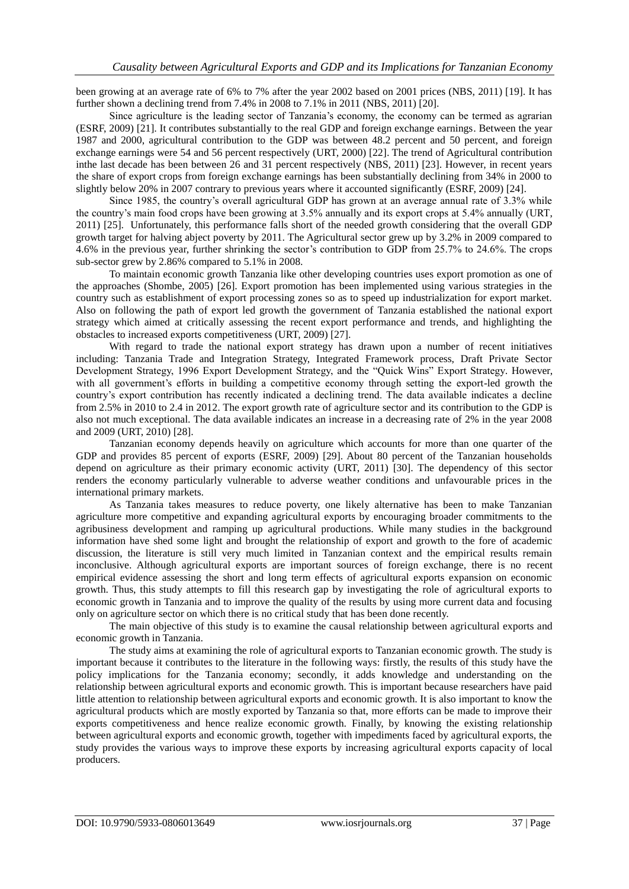been growing at an average rate of 6% to 7% after the year 2002 based on 2001 prices (NBS, 2011) [19]. It has further shown a declining trend from 7.4% in 2008 to 7.1% in 2011 (NBS, 2011) [20].

Since agriculture is the leading sector of Tanzania's economy, the economy can be termed as agrarian (ESRF, 2009) [21]. It contributes substantially to the real GDP and foreign exchange earnings. Between the year 1987 and 2000, agricultural contribution to the GDP was between 48.2 percent and 50 percent, and foreign exchange earnings were 54 and 56 percent respectively (URT, 2000) [22]. The trend of Agricultural contribution inthe last decade has been between 26 and 31 percent respectively (NBS, 2011) [23]. However, in recent years the share of export crops from foreign exchange earnings has been substantially declining from 34% in 2000 to slightly below 20% in 2007 contrary to previous years where it accounted significantly (ESRF, 2009) [24].

Since 1985, the country's overall agricultural GDP has grown at an average annual rate of 3.3% while the country's main food crops have been growing at 3.5% annually and its export crops at 5.4% annually (URT, 2011) [25]. Unfortunately, this performance falls short of the needed growth considering that the overall GDP growth target for halving abject poverty by 2011. The Agricultural sector grew up by 3.2% in 2009 compared to 4.6% in the previous year, further shrinking the sector's contribution to GDP from 25.7% to 24.6%. The crops sub-sector grew by 2.86% compared to 5.1% in 2008.

To maintain economic growth Tanzania like other developing countries uses export promotion as one of the approaches (Shombe, 2005) [26]. Export promotion has been implemented using various strategies in the country such as establishment of export processing zones so as to speed up industrialization for export market. Also on following the path of export led growth the government of Tanzania established the national export strategy which aimed at critically assessing the recent export performance and trends, and highlighting the obstacles to increased exports competitiveness (URT, 2009) [27].

With regard to trade the national export strategy has drawn upon a number of recent initiatives including: Tanzania Trade and Integration Strategy, Integrated Framework process, Draft Private Sector Development Strategy, 1996 Export Development Strategy, and the "Quick Wins" Export Strategy. However, with all government's efforts in building a competitive economy through setting the export-led growth the country's export contribution has recently indicated a declining trend. The data available indicates a decline from 2.5% in 2010 to 2.4 in 2012. The export growth rate of agriculture sector and its contribution to the GDP is also not much exceptional. The data available indicates an increase in a decreasing rate of 2% in the year 2008 and 2009 (URT, 2010) [28].

Tanzanian economy depends heavily on agriculture which accounts for more than one quarter of the GDP and provides 85 percent of exports (ESRF, 2009) [29]. About 80 percent of the Tanzanian households depend on agriculture as their primary economic activity (URT, 2011) [30]. The dependency of this sector renders the economy particularly vulnerable to adverse weather conditions and unfavourable prices in the international primary markets.

As Tanzania takes measures to reduce poverty, one likely alternative has been to make Tanzanian agriculture more competitive and expanding agricultural exports by encouraging broader commitments to the agribusiness development and ramping up agricultural productions. While many studies in the background information have shed some light and brought the relationship of export and growth to the fore of academic discussion, the literature is still very much limited in Tanzanian context and the empirical results remain inconclusive. Although agricultural exports are important sources of foreign exchange, there is no recent empirical evidence assessing the short and long term effects of agricultural exports expansion on economic growth. Thus, this study attempts to fill this research gap by investigating the role of agricultural exports to economic growth in Tanzania and to improve the quality of the results by using more current data and focusing only on agriculture sector on which there is no critical study that has been done recently.

The main objective of this study is to examine the causal relationship between agricultural exports and economic growth in Tanzania.

The study aims at examining the role of agricultural exports to Tanzanian economic growth. The study is important because it contributes to the literature in the following ways: firstly, the results of this study have the policy implications for the Tanzania economy; secondly, it adds knowledge and understanding on the relationship between agricultural exports and economic growth. This is important because researchers have paid little attention to relationship between agricultural exports and economic growth. It is also important to know the agricultural products which are mostly exported by Tanzania so that, more efforts can be made to improve their exports competitiveness and hence realize economic growth. Finally, by knowing the existing relationship between agricultural exports and economic growth, together with impediments faced by agricultural exports, the study provides the various ways to improve these exports by increasing agricultural exports capacity of local producers.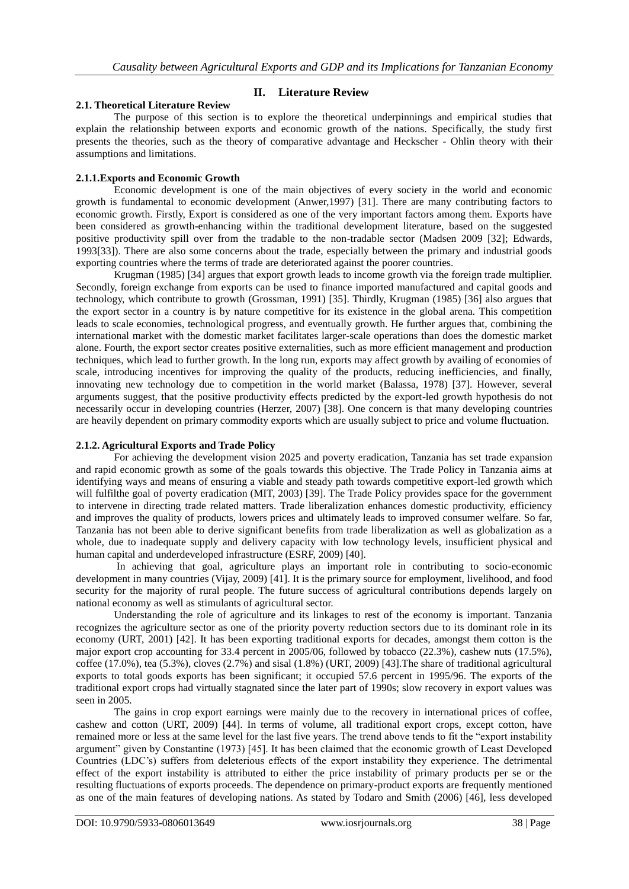## **II. Literature Review**

#### **2.1. Theoretical Literature Review**

The purpose of this section is to explore the theoretical underpinnings and empirical studies that explain the relationship between exports and economic growth of the nations. Specifically, the study first presents the theories, such as the theory of comparative advantage and Heckscher - Ohlin theory with their assumptions and limitations.

#### **2.1.1.Exports and Economic Growth**

Economic development is one of the main objectives of every society in the world and economic growth is fundamental to economic development (Anwer,1997) [31]. There are many contributing factors to economic growth. Firstly, Export is considered as one of the very important factors among them. Exports have been considered as growth-enhancing within the traditional development literature, based on the suggested positive productivity spill over from the tradable to the non-tradable sector (Madsen 2009 [32]; Edwards, 1993[33]). There are also some concerns about the trade, especially between the primary and industrial goods exporting countries where the terms of trade are deteriorated against the poorer countries.

Krugman (1985) [34] argues that export growth leads to income growth via the foreign trade multiplier. Secondly, foreign exchange from exports can be used to finance imported manufactured and capital goods and technology, which contribute to growth (Grossman, 1991) [35]. Thirdly, Krugman (1985) [36] also argues that the export sector in a country is by nature competitive for its existence in the global arena. This competition leads to scale economies, technological progress, and eventually growth. He further argues that, combining the international market with the domestic market facilitates larger-scale operations than does the domestic market alone. Fourth, the export sector creates positive externalities, such as more efficient management and production techniques, which lead to further growth. In the long run, exports may affect growth by availing of economies of scale, introducing incentives for improving the quality of the products, reducing inefficiencies, and finally, innovating new technology due to competition in the world market (Balassa, 1978) [37]. However, several arguments suggest, that the positive productivity effects predicted by the export-led growth hypothesis do not necessarily occur in developing countries (Herzer, 2007) [38]. One concern is that many developing countries are heavily dependent on primary commodity exports which are usually subject to price and volume fluctuation.

#### **2.1.2. Agricultural Exports and Trade Policy**

For achieving the development vision 2025 and poverty eradication, Tanzania has set trade expansion and rapid economic growth as some of the goals towards this objective. The Trade Policy in Tanzania aims at identifying ways and means of ensuring a viable and steady path towards competitive export-led growth which will fulfilthe goal of poverty eradication (MIT, 2003) [39]. The Trade Policy provides space for the government to intervene in directing trade related matters. Trade liberalization enhances domestic productivity, efficiency and improves the quality of products, lowers prices and ultimately leads to improved consumer welfare. So far, Tanzania has not been able to derive significant benefits from trade liberalization as well as globalization as a whole, due to inadequate supply and delivery capacity with low technology levels, insufficient physical and human capital and underdeveloped infrastructure (ESRF, 2009) [40].

In achieving that goal, agriculture plays an important role in contributing to socio-economic development in many countries (Vijay, 2009) [41]. It is the primary source for employment, livelihood, and food security for the majority of rural people. The future success of agricultural contributions depends largely on national economy as well as stimulants of agricultural sector.

Understanding the role of agriculture and its linkages to rest of the economy is important. Tanzania recognizes the agriculture sector as one of the priority poverty reduction sectors due to its dominant role in its economy (URT, 2001) [42]. It has been exporting traditional exports for decades, amongst them cotton is the major export crop accounting for 33.4 percent in 2005/06, followed by tobacco (22.3%), cashew nuts (17.5%), coffee (17.0%), tea (5.3%), cloves (2.7%) and sisal (1.8%) (URT, 2009) [43].The share of traditional agricultural exports to total goods exports has been significant; it occupied 57.6 percent in 1995/96. The exports of the traditional export crops had virtually stagnated since the later part of 1990s; slow recovery in export values was seen in 2005.

The gains in crop export earnings were mainly due to the recovery in international prices of coffee, cashew and cotton (URT, 2009) [44]. In terms of volume, all traditional export crops, except cotton, have remained more or less at the same level for the last five years. The trend above tends to fit the "export instability argument" given by Constantine (1973) [45]. It has been claimed that the economic growth of Least Developed Countries (LDC's) suffers from deleterious effects of the export instability they experience. The detrimental effect of the export instability is attributed to either the price instability of primary products per se or the resulting fluctuations of exports proceeds. The dependence on primary-product exports are frequently mentioned as one of the main features of developing nations. As stated by Todaro and Smith (2006) [46], less developed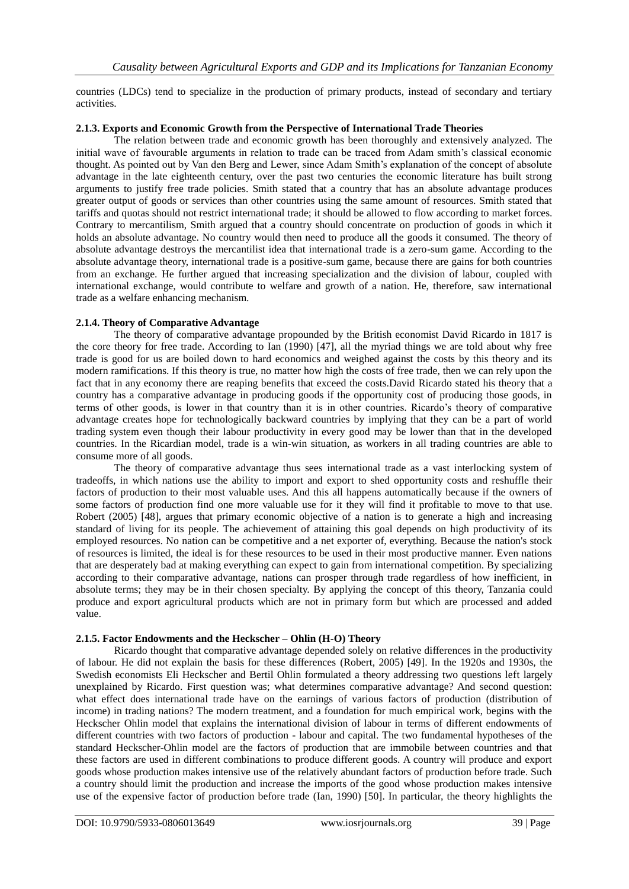countries (LDCs) tend to specialize in the production of primary products, instead of secondary and tertiary activities.

#### **2.1.3. Exports and Economic Growth from the Perspective of International Trade Theories**

The relation between trade and economic growth has been thoroughly and extensively analyzed. The initial wave of favourable arguments in relation to trade can be traced from Adam smith's classical economic thought. As pointed out by Van den Berg and Lewer, since Adam Smith's explanation of the concept of absolute advantage in the late eighteenth century, over the past two centuries the economic literature has built strong arguments to justify free trade policies. Smith stated that a country that has an absolute advantage produces greater output of goods or services than other countries using the same amount of resources. Smith stated that tariffs and quotas should not restrict international trade; it should be allowed to flow according to market forces. Contrary to mercantilism, Smith argued that a country should concentrate on production of goods in which it holds an absolute advantage. No country would then need to produce all the goods it consumed. The theory of absolute advantage destroys the mercantilist idea that international trade is a zero-sum game. According to the absolute advantage theory, international trade is a positive-sum game, because there are gains for both countries from an exchange. He further argued that increasing specialization and the division of labour, coupled with international exchange, would contribute to welfare and growth of a nation. He, therefore, saw international trade as a welfare enhancing mechanism.

## **2.1.4. Theory of Comparative Advantage**

The theory of comparative advantage propounded by the British economist David Ricardo in 1817 is the core theory for free trade. According to Ian (1990) [47], all the myriad things we are told about why free trade is good for us are boiled down to hard economics and weighed against the costs by this theory and its modern ramifications. If this theory is true, no matter how high the costs of free trade, then we can rely upon the fact that in any economy there are reaping benefits that exceed the costs.David Ricardo stated his theory that a country has a comparative advantage in producing goods if the opportunity cost of producing those goods, in terms of other goods, is lower in that country than it is in other countries. Ricardo's theory of comparative advantage creates hope for technologically backward countries by implying that they can be a part of world trading system even though their labour productivity in every good may be lower than that in the developed countries. In the Ricardian model, trade is a win-win situation, as workers in all trading countries are able to consume more of all goods.

The theory of comparative advantage thus sees international trade as a vast interlocking system of tradeoffs, in which nations use the ability to import and export to shed opportunity costs and reshuffle their factors of production to their most valuable uses. And this all happens automatically because if the owners of some factors of production find one more valuable use for it they will find it profitable to move to that use. Robert (2005) [48], argues that primary economic objective of a nation is to generate a high and increasing standard of living for its people. The achievement of attaining this goal depends on high productivity of its employed resources. No nation can be competitive and a net exporter of, everything. Because the nation's stock of resources is limited, the ideal is for these resources to be used in their most productive manner. Even nations that are desperately bad at making everything can expect to gain from international competition. By specializing according to their comparative advantage, nations can prosper through trade regardless of how inefficient, in absolute terms; they may be in their chosen specialty. By applying the concept of this theory, Tanzania could produce and export agricultural products which are not in primary form but which are processed and added value.

#### **2.1.5. Factor Endowments and the Heckscher – Ohlin (H-O) Theory**

Ricardo thought that comparative advantage depended solely on relative differences in the productivity of labour. He did not explain the basis for these differences (Robert, 2005) [49]. In the 1920s and 1930s, the Swedish economists Eli Heckscher and Bertil Ohlin formulated a theory addressing two questions left largely unexplained by Ricardo. First question was; what determines comparative advantage? And second question: what effect does international trade have on the earnings of various factors of production (distribution of income) in trading nations? The modern treatment, and a foundation for much empirical work, begins with the Heckscher Ohlin model that explains the international division of labour in terms of different endowments of different countries with two factors of production - labour and capital. The two fundamental hypotheses of the standard Heckscher-Ohlin model are the factors of production that are immobile between countries and that these factors are used in different combinations to produce different goods. A country will produce and export goods whose production makes intensive use of the relatively abundant factors of production before trade. Such a country should limit the production and increase the imports of the good whose production makes intensive use of the expensive factor of production before trade (Ian, 1990) [50]. In particular, the theory highlights the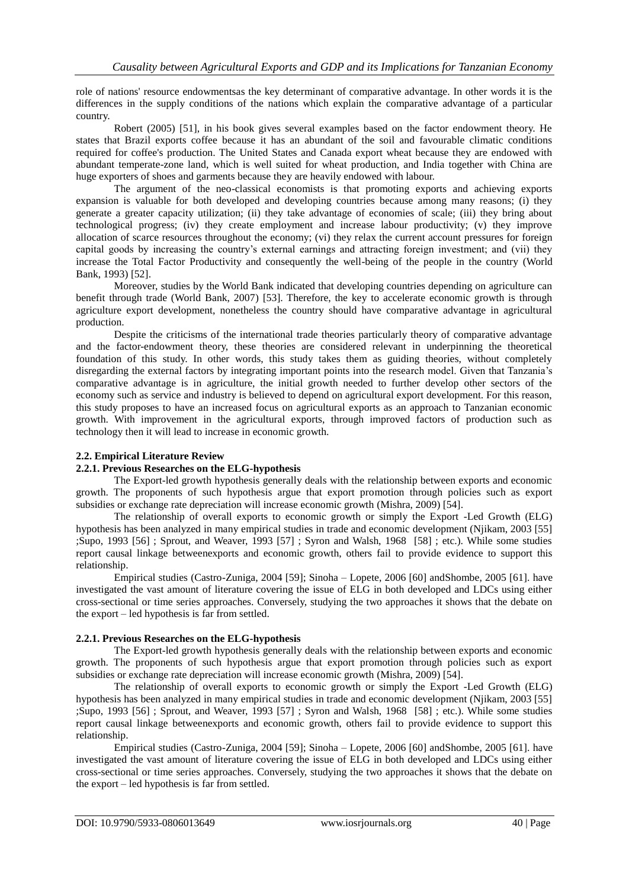role of nations' resource endowmentsas the key determinant of comparative advantage. In other words it is the differences in the supply conditions of the nations which explain the comparative advantage of a particular country.

Robert (2005) [51], in his book gives several examples based on the factor endowment theory. He states that Brazil exports coffee because it has an abundant of the soil and favourable climatic conditions required for coffee's production. The United States and Canada export wheat because they are endowed with abundant temperate-zone land, which is well suited for wheat production, and India together with China are huge exporters of shoes and garments because they are heavily endowed with labour.

The argument of the neo-classical economists is that promoting exports and achieving exports expansion is valuable for both developed and developing countries because among many reasons; (i) they generate a greater capacity utilization; (ii) they take advantage of economies of scale; (iii) they bring about technological progress; (iv) they create employment and increase labour productivity; (v) they improve allocation of scarce resources throughout the economy; (vi) they relax the current account pressures for foreign capital goods by increasing the country's external earnings and attracting foreign investment; and (vii) they increase the Total Factor Productivity and consequently the well-being of the people in the country (World Bank, 1993) [52].

Moreover, studies by the World Bank indicated that developing countries depending on agriculture can benefit through trade (World Bank, 2007) [53]. Therefore, the key to accelerate economic growth is through agriculture export development, nonetheless the country should have comparative advantage in agricultural production.

Despite the criticisms of the international trade theories particularly theory of comparative advantage and the factor-endowment theory, these theories are considered relevant in underpinning the theoretical foundation of this study. In other words, this study takes them as guiding theories, without completely disregarding the external factors by integrating important points into the research model. Given that Tanzania's comparative advantage is in agriculture, the initial growth needed to further develop other sectors of the economy such as service and industry is believed to depend on agricultural export development. For this reason, this study proposes to have an increased focus on agricultural exports as an approach to Tanzanian economic growth. With improvement in the agricultural exports, through improved factors of production such as technology then it will lead to increase in economic growth.

## **2.2. Empirical Literature Review**

## **2.2.1. Previous Researches on the ELG-hypothesis**

The Export-led growth hypothesis generally deals with the relationship between exports and economic growth. The proponents of such hypothesis argue that export promotion through policies such as export subsidies or exchange rate depreciation will increase economic growth (Mishra, 2009) [54].

The relationship of overall exports to economic growth or simply the Export -Led Growth (ELG) hypothesis has been analyzed in many empirical studies in trade and economic development (Njikam, 2003 [55] ;Supo, 1993 [56] ; Sprout, and Weaver, 1993 [57] ; Syron and Walsh, 1968 [58] ; etc.). While some studies report causal linkage betweenexports and economic growth, others fail to provide evidence to support this relationship.

Empirical studies (Castro-Zuniga, 2004 [59]; Sinoha – Lopete, 2006 [60] andShombe, 2005 [61]. have investigated the vast amount of literature covering the issue of ELG in both developed and LDCs using either cross-sectional or time series approaches. Conversely, studying the two approaches it shows that the debate on the export – led hypothesis is far from settled.

## **2.2.1. Previous Researches on the ELG-hypothesis**

The Export-led growth hypothesis generally deals with the relationship between exports and economic growth. The proponents of such hypothesis argue that export promotion through policies such as export subsidies or exchange rate depreciation will increase economic growth (Mishra, 2009) [54].

The relationship of overall exports to economic growth or simply the Export -Led Growth (ELG) hypothesis has been analyzed in many empirical studies in trade and economic development (Njikam, 2003 [55] ;Supo, 1993 [56] ; Sprout, and Weaver, 1993 [57] ; Syron and Walsh, 1968 [58] ; etc.). While some studies report causal linkage betweenexports and economic growth, others fail to provide evidence to support this relationship.

Empirical studies (Castro-Zuniga, 2004 [59]; Sinoha – Lopete, 2006 [60] andShombe, 2005 [61]. have investigated the vast amount of literature covering the issue of ELG in both developed and LDCs using either cross-sectional or time series approaches. Conversely, studying the two approaches it shows that the debate on the export – led hypothesis is far from settled.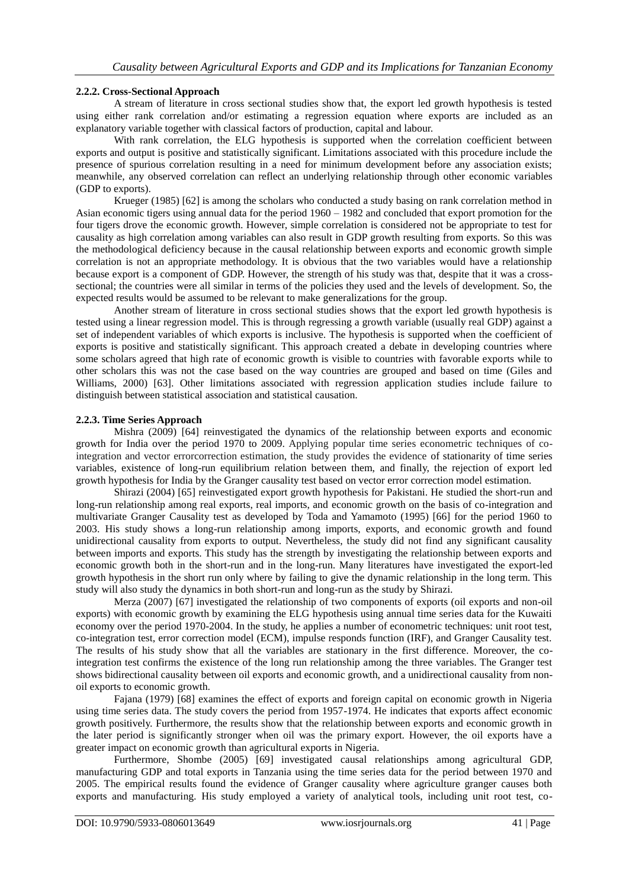#### **2.2.2. Cross-Sectional Approach**

A stream of literature in cross sectional studies show that, the export led growth hypothesis is tested using either rank correlation and/or estimating a regression equation where exports are included as an explanatory variable together with classical factors of production, capital and labour.

With rank correlation, the ELG hypothesis is supported when the correlation coefficient between exports and output is positive and statistically significant. Limitations associated with this procedure include the presence of spurious correlation resulting in a need for minimum development before any association exists; meanwhile, any observed correlation can reflect an underlying relationship through other economic variables (GDP to exports).

Krueger (1985) [62] is among the scholars who conducted a study basing on rank correlation method in Asian economic tigers using annual data for the period 1960 – 1982 and concluded that export promotion for the four tigers drove the economic growth. However, simple correlation is considered not be appropriate to test for causality as high correlation among variables can also result in GDP growth resulting from exports. So this was the methodological deficiency because in the causal relationship between exports and economic growth simple correlation is not an appropriate methodology. It is obvious that the two variables would have a relationship because export is a component of GDP. However, the strength of his study was that, despite that it was a crosssectional; the countries were all similar in terms of the policies they used and the levels of development. So, the expected results would be assumed to be relevant to make generalizations for the group.

Another stream of literature in cross sectional studies shows that the export led growth hypothesis is tested using a linear regression model. This is through regressing a growth variable (usually real GDP) against a set of independent variables of which exports is inclusive. The hypothesis is supported when the coefficient of exports is positive and statistically significant. This approach created a debate in developing countries where some scholars agreed that high rate of economic growth is visible to countries with favorable exports while to other scholars this was not the case based on the way countries are grouped and based on time (Giles and Williams, 2000) [63]. Other limitations associated with regression application studies include failure to distinguish between statistical association and statistical causation.

#### **2.2.3. Time Series Approach**

Mishra (2009) [64] reinvestigated the dynamics of the relationship between exports and economic growth for India over the period 1970 to 2009. Applying popular time series econometric techniques of cointegration and vector errorcorrection estimation, the study provides the evidence of stationarity of time series variables, existence of long-run equilibrium relation between them, and finally, the rejection of export led growth hypothesis for India by the Granger causality test based on vector error correction model estimation.

Shirazi (2004) [65] reinvestigated export growth hypothesis for Pakistani. He studied the short-run and long-run relationship among real exports, real imports, and economic growth on the basis of co-integration and multivariate Granger Causality test as developed by Toda and Yamamoto (1995) [66] for the period 1960 to 2003. His study shows a long-run relationship among imports, exports, and economic growth and found unidirectional causality from exports to output. Nevertheless, the study did not find any significant causality between imports and exports. This study has the strength by investigating the relationship between exports and economic growth both in the short-run and in the long-run. Many literatures have investigated the export-led growth hypothesis in the short run only where by failing to give the dynamic relationship in the long term. This study will also study the dynamics in both short-run and long-run as the study by Shirazi.

Merza (2007) [67] investigated the relationship of two components of exports (oil exports and non-oil exports) with economic growth by examining the ELG hypothesis using annual time series data for the Kuwaiti economy over the period 1970-2004. In the study, he applies a number of econometric techniques: unit root test, co-integration test, error correction model (ECM), impulse responds function (IRF), and Granger Causality test. The results of his study show that all the variables are stationary in the first difference. Moreover, the cointegration test confirms the existence of the long run relationship among the three variables. The Granger test shows bidirectional causality between oil exports and economic growth, and a unidirectional causality from nonoil exports to economic growth.

Fajana (1979) [68] examines the effect of exports and foreign capital on economic growth in Nigeria using time series data. The study covers the period from 1957-1974. He indicates that exports affect economic growth positively. Furthermore, the results show that the relationship between exports and economic growth in the later period is significantly stronger when oil was the primary export. However, the oil exports have a greater impact on economic growth than agricultural exports in Nigeria.

Furthermore, Shombe (2005) [69] investigated causal relationships among agricultural GDP, manufacturing GDP and total exports in Tanzania using the time series data for the period between 1970 and 2005. The empirical results found the evidence of Granger causality where agriculture granger causes both exports and manufacturing. His study employed a variety of analytical tools, including unit root test, co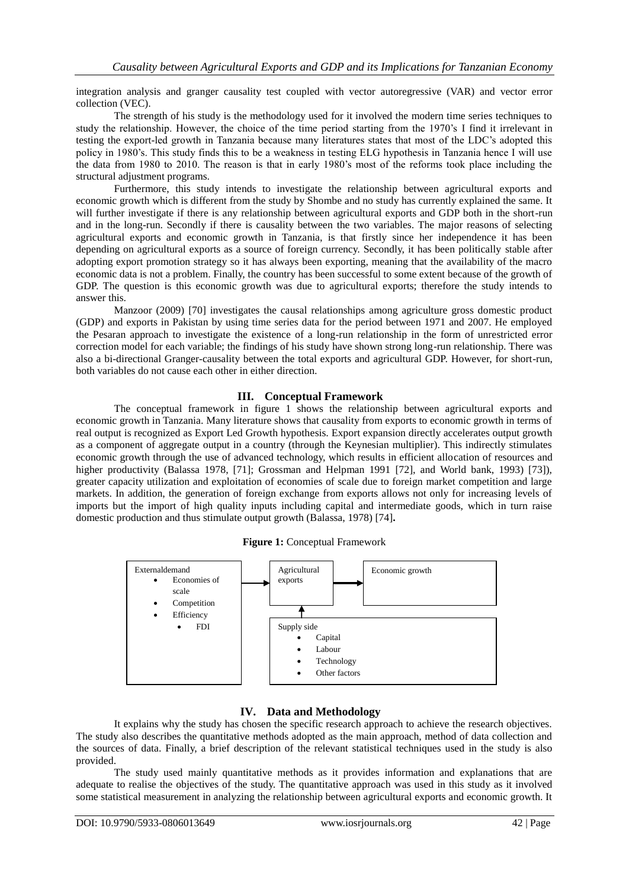integration analysis and granger causality test coupled with vector autoregressive (VAR) and vector error collection (VEC).

The strength of his study is the methodology used for it involved the modern time series techniques to study the relationship. However, the choice of the time period starting from the 1970's I find it irrelevant in testing the export-led growth in Tanzania because many literatures states that most of the LDC's adopted this policy in 1980's. This study finds this to be a weakness in testing ELG hypothesis in Tanzania hence I will use the data from 1980 to 2010. The reason is that in early 1980's most of the reforms took place including the structural adjustment programs.

Furthermore, this study intends to investigate the relationship between agricultural exports and economic growth which is different from the study by Shombe and no study has currently explained the same. It will further investigate if there is any relationship between agricultural exports and GDP both in the short-run and in the long-run. Secondly if there is causality between the two variables. The major reasons of selecting agricultural exports and economic growth in Tanzania, is that firstly since her independence it has been depending on agricultural exports as a source of foreign currency. Secondly, it has been politically stable after adopting export promotion strategy so it has always been exporting, meaning that the availability of the macro economic data is not a problem. Finally, the country has been successful to some extent because of the growth of GDP. The question is this economic growth was due to agricultural exports; therefore the study intends to answer this.

Manzoor (2009) [70] investigates the causal relationships among agriculture gross domestic product (GDP) and exports in Pakistan by using time series data for the period between 1971 and 2007. He employed the Pesaran approach to investigate the existence of a long-run relationship in the form of unrestricted error correction model for each variable; the findings of his study have shown strong long-run relationship. There was also a bi-directional Granger-causality between the total exports and agricultural GDP. However, for short-run, both variables do not cause each other in either direction.

## **III. Conceptual Framework**

The conceptual framework in figure 1 shows the relationship between agricultural exports and economic growth in Tanzania. Many literature shows that causality from exports to economic growth in terms of real output is recognized as Export Led Growth hypothesis. Export expansion directly accelerates output growth as a component of aggregate output in a country (through the Keynesian multiplier). This indirectly stimulates economic growth through the use of advanced technology, which results in efficient allocation of resources and higher productivity (Balassa 1978, [71]; Grossman and Helpman 1991 [72], and World bank, 1993) [73]), greater capacity utilization and exploitation of economies of scale due to foreign market competition and large markets. In addition, the generation of foreign exchange from exports allows not only for increasing levels of imports but the import of high quality inputs including capital and intermediate goods, which in turn raise domestic production and thus stimulate output growth (Balassa, 1978) [74]**.**



#### **Figure 1:** Conceptual Framework

# **IV. Data and Methodology**

It explains why the study has chosen the specific research approach to achieve the research objectives. The study also describes the quantitative methods adopted as the main approach, method of data collection and the sources of data. Finally, a brief description of the relevant statistical techniques used in the study is also provided.

The study used mainly quantitative methods as it provides information and explanations that are adequate to realise the objectives of the study. The quantitative approach was used in this study as it involved some statistical measurement in analyzing the relationship between agricultural exports and economic growth. It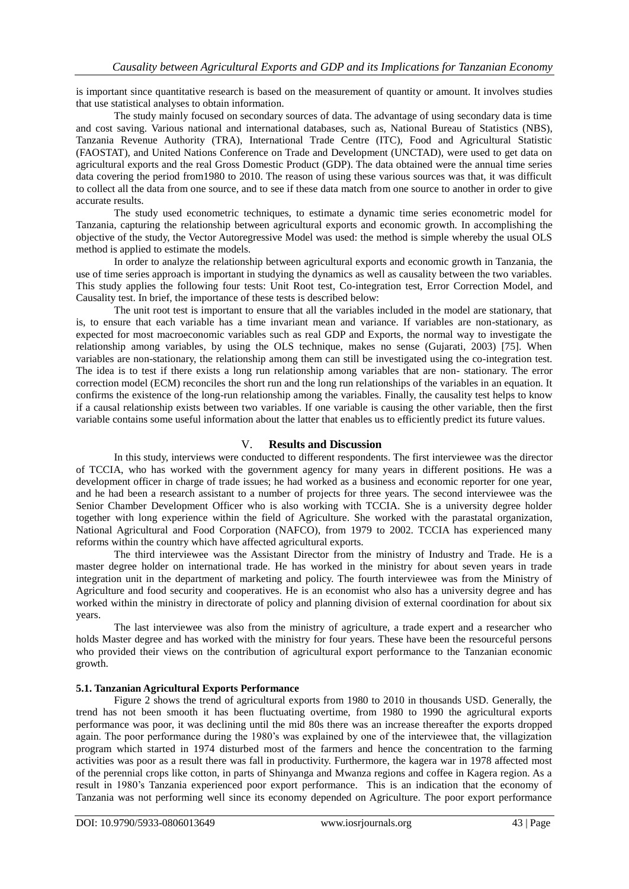is important since quantitative research is based on the measurement of quantity or amount. It involves studies that use statistical analyses to obtain information.

The study mainly focused on secondary sources of data. The advantage of using secondary data is time and cost saving. Various national and international databases, such as, National Bureau of Statistics (NBS), Tanzania Revenue Authority (TRA), International Trade Centre (ITC), Food and Agricultural Statistic (FAOSTAT), and United Nations Conference on Trade and Development (UNCTAD), were used to get data on agricultural exports and the real Gross Domestic Product (GDP). The data obtained were the annual time series data covering the period from1980 to 2010. The reason of using these various sources was that, it was difficult to collect all the data from one source, and to see if these data match from one source to another in order to give accurate results.

The study used econometric techniques, to estimate a dynamic time series econometric model for Tanzania, capturing the relationship between agricultural exports and economic growth. In accomplishing the objective of the study, the Vector Autoregressive Model was used: the method is simple whereby the usual OLS method is applied to estimate the models.

In order to analyze the relationship between agricultural exports and economic growth in Tanzania, the use of time series approach is important in studying the dynamics as well as causality between the two variables. This study applies the following four tests: Unit Root test, Co-integration test, Error Correction Model, and Causality test. In brief, the importance of these tests is described below:

The unit root test is important to ensure that all the variables included in the model are stationary, that is, to ensure that each variable has a time invariant mean and variance. If variables are non-stationary, as expected for most macroeconomic variables such as real GDP and Exports, the normal way to investigate the relationship among variables, by using the OLS technique, makes no sense (Gujarati, 2003) [75]. When variables are non-stationary, the relationship among them can still be investigated using the co-integration test. The idea is to test if there exists a long run relationship among variables that are non- stationary. The error correction model (ECM) reconciles the short run and the long run relationships of the variables in an equation. It confirms the existence of the long-run relationship among the variables. Finally, the causality test helps to know if a causal relationship exists between two variables. If one variable is causing the other variable, then the first variable contains some useful information about the latter that enables us to efficiently predict its future values.

# V. **Results and Discussion**

In this study, interviews were conducted to different respondents. The first interviewee was the director of TCCIA, who has worked with the government agency for many years in different positions. He was a development officer in charge of trade issues; he had worked as a business and economic reporter for one year, and he had been a research assistant to a number of projects for three years. The second interviewee was the Senior Chamber Development Officer who is also working with TCCIA. She is a university degree holder together with long experience within the field of Agriculture. She worked with the parastatal organization, National Agricultural and Food Corporation (NAFCO), from 1979 to 2002. TCCIA has experienced many reforms within the country which have affected agricultural exports.

The third interviewee was the Assistant Director from the ministry of Industry and Trade. He is a master degree holder on international trade. He has worked in the ministry for about seven years in trade integration unit in the department of marketing and policy. The fourth interviewee was from the Ministry of Agriculture and food security and cooperatives. He is an economist who also has a university degree and has worked within the ministry in directorate of policy and planning division of external coordination for about six years.

The last interviewee was also from the ministry of agriculture, a trade expert and a researcher who holds Master degree and has worked with the ministry for four years. These have been the resourceful persons who provided their views on the contribution of agricultural export performance to the Tanzanian economic growth.

#### **5.1. Tanzanian Agricultural Exports Performance**

Figure 2 shows the trend of agricultural exports from 1980 to 2010 in thousands USD. Generally, the trend has not been smooth it has been fluctuating overtime, from 1980 to 1990 the agricultural exports performance was poor, it was declining until the mid 80s there was an increase thereafter the exports dropped again. The poor performance during the 1980's was explained by one of the interviewee that, the villagization program which started in 1974 disturbed most of the farmers and hence the concentration to the farming activities was poor as a result there was fall in productivity. Furthermore, the kagera war in 1978 affected most of the perennial crops like cotton, in parts of Shinyanga and Mwanza regions and coffee in Kagera region. As a result in 1980's Tanzania experienced poor export performance. This is an indication that the economy of Tanzania was not performing well since its economy depended on Agriculture. The poor export performance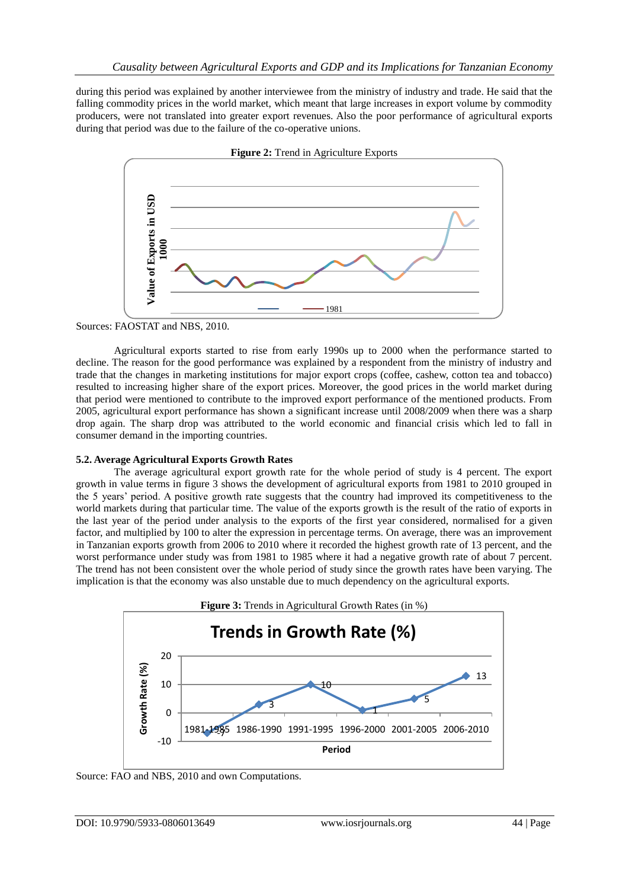during this period was explained by another interviewee from the ministry of industry and trade. He said that the falling commodity prices in the world market, which meant that large increases in export volume by commodity producers, were not translated into greater export revenues. Also the poor performance of agricultural exports during that period was due to the failure of the co-operative unions.



Sources: FAOSTAT and NBS, 2010.

Agricultural exports started to rise from early 1990s up to 2000 when the performance started to decline. The reason for the good performance was explained by a respondent from the ministry of industry and trade that the changes in marketing institutions for major export crops (coffee, cashew, cotton tea and tobacco) resulted to increasing higher share of the export prices. Moreover, the good prices in the world market during that period were mentioned to contribute to the improved export performance of the mentioned products. From 2005, agricultural export performance has shown a significant increase until 2008/2009 when there was a sharp drop again. The sharp drop was attributed to the world economic and financial crisis which led to fall in consumer demand in the importing countries.

# **5.2. Average Agricultural Exports Growth Rates**

The average agricultural export growth rate for the whole period of study is 4 percent. The export growth in value terms in figure 3 shows the development of agricultural exports from 1981 to 2010 grouped in the 5 years' period. A positive growth rate suggests that the country had improved its competitiveness to the world markets during that particular time. The value of the exports growth is the result of the ratio of exports in the last year of the period under analysis to the exports of the first year considered, normalised for a given factor, and multiplied by 100 to alter the expression in percentage terms. On average, there was an improvement in Tanzanian exports growth from 2006 to 2010 where it recorded the highest growth rate of 13 percent, and the worst performance under study was from 1981 to 1985 where it had a negative growth rate of about 7 percent. The trend has not been consistent over the whole period of study since the growth rates have been varying. The implication is that the economy was also unstable due to much dependency on the agricultural exports.

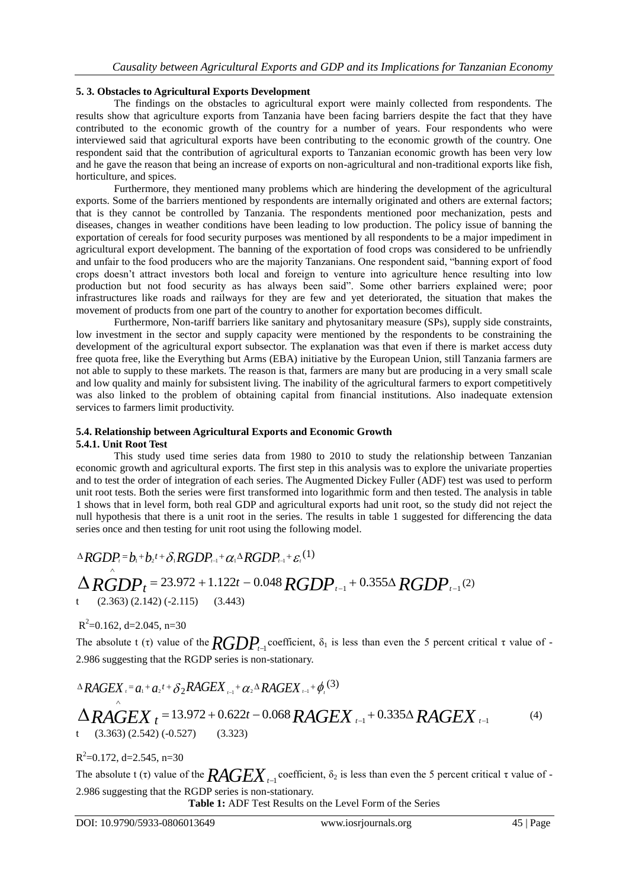## **5. 3. Obstacles to Agricultural Exports Development**

The findings on the obstacles to agricultural export were mainly collected from respondents. The results show that agriculture exports from Tanzania have been facing barriers despite the fact that they have contributed to the economic growth of the country for a number of years. Four respondents who were interviewed said that agricultural exports have been contributing to the economic growth of the country. One respondent said that the contribution of agricultural exports to Tanzanian economic growth has been very low and he gave the reason that being an increase of exports on non-agricultural and non-traditional exports like fish, horticulture, and spices.

Furthermore, they mentioned many problems which are hindering the development of the agricultural exports. Some of the barriers mentioned by respondents are internally originated and others are external factors; that is they cannot be controlled by Tanzania. The respondents mentioned poor mechanization, pests and diseases, changes in weather conditions have been leading to low production. The policy issue of banning the exportation of cereals for food security purposes was mentioned by all respondents to be a major impediment in agricultural export development. The banning of the exportation of food crops was considered to be unfriendly and unfair to the food producers who are the majority Tanzanians. One respondent said, "banning export of food crops doesn't attract investors both local and foreign to venture into agriculture hence resulting into low production but not food security as has always been said". Some other barriers explained were; poor infrastructures like roads and railways for they are few and yet deteriorated, the situation that makes the movement of products from one part of the country to another for exportation becomes difficult.

Furthermore, Non-tariff barriers like sanitary and phytosanitary measure (SPs), supply side constraints, low investment in the sector and supply capacity were mentioned by the respondents to be constraining the development of the agricultural export subsector. The explanation was that even if there is market access duty free quota free, like the Everything but Arms (EBA) initiative by the European Union, still Tanzania farmers are not able to supply to these markets. The reason is that, farmers are many but are producing in a very small scale and low quality and mainly for subsistent living. The inability of the agricultural farmers to export competitively was also linked to the problem of obtaining capital from financial institutions. Also inadequate extension services to farmers limit productivity.

# **5.4. Relationship between Agricultural Exports and Economic Growth**

# **5.4.1. Unit Root Test**

This study used time series data from 1980 to 2010 to study the relationship between Tanzanian economic growth and agricultural exports. The first step in this analysis was to explore the univariate properties and to test the order of integration of each series. The Augmented Dickey Fuller (ADF) test was used to perform unit root tests. Both the series were first transformed into logarithmic form and then tested. The analysis in table 1 shows that in level form, both real GDP and agricultural exports had unit root, so the study did not reject the null hypothesis that there is a unit root in the series. The results in table 1 suggested for differencing the data series once and then testing for unit root using the following model.

$$
\triangle RGDP_{t} = b_{1} + b_{2}t + \delta_{1}RGDP_{t-1} + \alpha_{1} \triangle RGDP_{t-1} + \varepsilon_{t}^{(1)}
$$
\n
$$
\triangle RGDP_{t} = 23.972 + 1.122t - 0.048 RGDP_{t-1} + 0.355\triangle RGDP_{t-1}^{(2)}
$$
\n
$$
(2.363)(2.142)(-2.115) \quad (3.443)
$$

 $R^2$ =0.162, d=2.045, n=30

The absolute t (τ) value of the  $\text{RGDP}_{t-1}$  coefficient,  $\delta_1$  is less than even the 5 percent critical τ value of -2.986 suggesting that the RGDP series is non-stationary.

$$
\Delta RAGEX_i = a_1 + a_2t + \delta_2 RAGEX_{i-1} + \alpha_2 \Delta RAGEX_{i-1} + \phi_i^{(3)}
$$

$$
\Delta RAGEX_t = 13.972 + 0.622t - 0.068 RAGEX_{t-1} + 0.335\Delta RAGEX_{t-1}
$$
\n(4)

 $R^2$ =0.172, d=2.545, n=30

 $\wedge$ 

The absolute t (τ) value of the  $\pmb{RAGEX}_{t-1}$  coefficient,  $\delta_2$  is less than even the 5 percent critical τ value of -2.986 suggesting that the RGDP series is non-stationary.

**Table 1:** ADF Test Results on the Level Form of the Series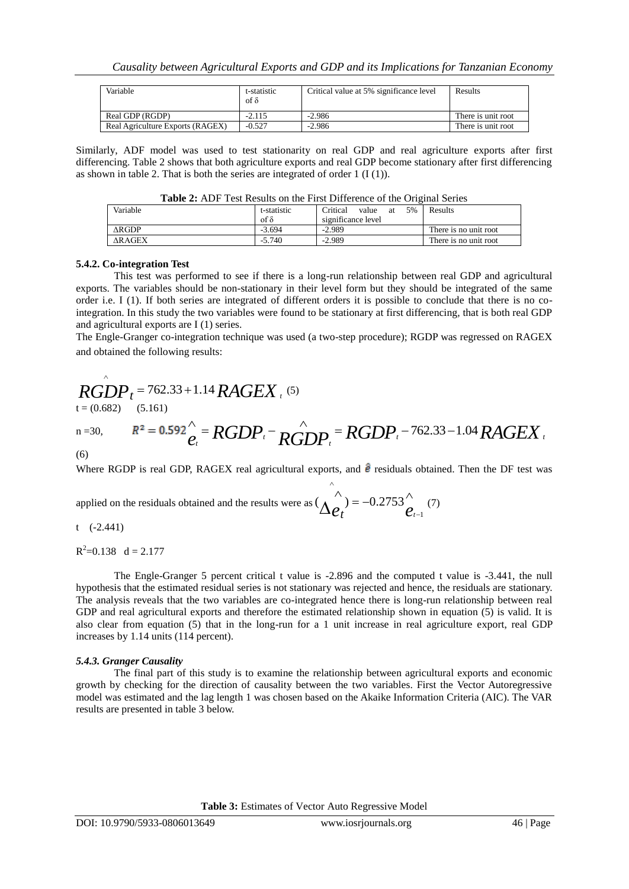| Variable                         | t-statistic<br>of δ | Critical value at 5% significance level | Results            |
|----------------------------------|---------------------|-----------------------------------------|--------------------|
| Real GDP (RGDP)                  | $-2.115$            | $-2.986$                                | There is unit root |
| Real Agriculture Exports (RAGEX) | $-0.527$            | $-2.986$                                | There is unit root |

Similarly, ADF model was used to test stationarity on real GDP and real agriculture exports after first differencing. Table 2 shows that both agriculture exports and real GDP become stationary after first differencing as shown in table 2. That is both the series are integrated of order  $1 (I(1))$ .

|               |               | <b>Table 2.</b> The Test Results on the First Diriciclice of the Original Series |                       |
|---------------|---------------|----------------------------------------------------------------------------------|-----------------------|
| Variable      | t-statistic   | Critical<br>5%<br>value<br>аt                                                    | Results               |
|               | $\int \delta$ | significance level                                                               |                       |
| ARGDP         | $-3.694$      | $-2.989$                                                                         | There is no unit root |
| <b>ARAGEX</b> | $-5.740$      | $-2.989$                                                                         | There is no unit root |

| <b>Table 2:</b> ADF Test Results on the First Difference of the Original Series |  |
|---------------------------------------------------------------------------------|--|
|---------------------------------------------------------------------------------|--|

#### **5.4.2. Co-integration Test**

This test was performed to see if there is a long-run relationship between real GDP and agricultural exports. The variables should be non-stationary in their level form but they should be integrated of the same order i.e. I (1). If both series are integrated of different orders it is possible to conclude that there is no cointegration. In this study the two variables were found to be stationary at first differencing, that is both real GDP and agricultural exports are I (1) series.

The Engle-Granger co-integration technique was used (a two-step procedure); RGDP was regressed on RAGEX and obtained the following results:

$$
RGDP_t = 762.33 + 1.14 RAGEX_t^{(5)}
$$

 $\wedge$ 

n=30, 
$$
R^2 = 0.592 \bigg|_{e_t}^{\Lambda} = RGDP_t - \bigg|_{RGDP_t}^{\Lambda} = RGDP_t - 762.33 - 1.04 RAGEX_t
$$

(6)

Where RGDP is real GDP, RAGEX real agricultural exports, and  $\hat{\mathbf{e}}$  residuals obtained. Then the DF test was

applied on the residuals obtained and the results were as  $\Delta e_t = -0.2753 \hat{e}_t$  $=-0.2753^{\circ}$  $\wedge$ - $\wedge$  $(\Delta \hat{e}_t^{\prime}) = -0.2753 \hat{e}_{t-1}^{\prime}$  (7)

t (-2.441)

 $R^2 = 0.138$  d = 2.177

The Engle-Granger 5 percent critical t value is -2.896 and the computed t value is -3.441, the null hypothesis that the estimated residual series is not stationary was rejected and hence, the residuals are stationary. The analysis reveals that the two variables are co-integrated hence there is long-run relationship between real GDP and real agricultural exports and therefore the estimated relationship shown in equation (5) is valid. It is also clear from equation (5) that in the long-run for a 1 unit increase in real agriculture export, real GDP increases by 1.14 units (114 percent).

#### *5.4.3. Granger Causality*

The final part of this study is to examine the relationship between agricultural exports and economic growth by checking for the direction of causality between the two variables. First the Vector Autoregressive model was estimated and the lag length 1 was chosen based on the Akaike Information Criteria (AIC). The VAR results are presented in table 3 below.

**Table 3:** Estimates of Vector Auto Regressive Model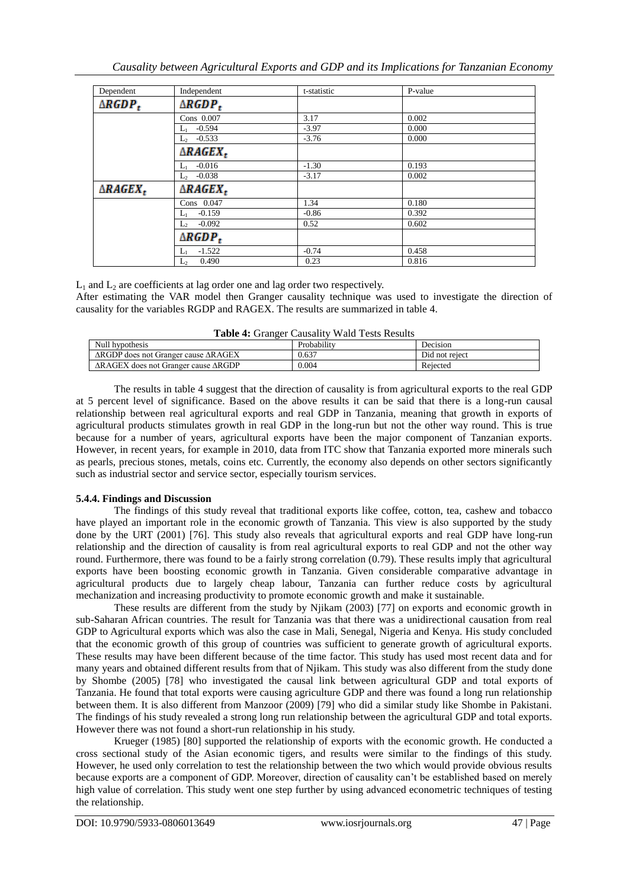| Dependent           | Independent         | t-statistic | P-value |  |
|---------------------|---------------------|-------------|---------|--|
| $\triangle RGDP_t$  | $\triangle RGDP_t$  |             |         |  |
|                     | Cons 0.007          | 3.17        | 0.002   |  |
|                     | $L_1$ -0.594        | $-3.97$     | 0.000   |  |
|                     | $L_2$ -0.533        | $-3.76$     | 0.000   |  |
|                     | $\triangle RAGEX_t$ |             |         |  |
|                     | $L_1$ -0.016        | $-1.30$     | 0.193   |  |
|                     | $L_2$ -0.038        | $-3.17$     | 0.002   |  |
| $\triangle RAGEX_t$ | $\triangle RAGEX_t$ |             |         |  |
|                     | Cons 0.047          | 1.34        | 0.180   |  |
|                     | $L_1$ -0.159        | $-0.86$     | 0.392   |  |
|                     | $L_2$ -0.092        | 0.52        | 0.602   |  |
|                     | $\triangle RGBP_t$  |             |         |  |
|                     | $L_1$ -1.522        | $-0.74$     | 0.458   |  |
|                     | 0.490<br>$L_2$      | 0.23        | 0.816   |  |

 $L_1$  and  $L_2$  are coefficients at lag order one and lag order two respectively.

After estimating the VAR model then Granger causality technique was used to investigate the direction of causality for the variables RGDP and RAGEX. The results are summarized in table 4.

| Null hypothesis                                           | Probability | Decision       |
|-----------------------------------------------------------|-------------|----------------|
| $\triangle$ RGDP does not Granger cause $\triangle$ RAGEX | 0.637       | Did not reject |
| $\triangle RAGEX$ does not Granger cause $\triangle RGDP$ | 0.004       | Rejected       |
|                                                           |             |                |

The results in table 4 suggest that the direction of causality is from agricultural exports to the real GDP at 5 percent level of significance. Based on the above results it can be said that there is a long-run causal relationship between real agricultural exports and real GDP in Tanzania, meaning that growth in exports of agricultural products stimulates growth in real GDP in the long-run but not the other way round. This is true because for a number of years, agricultural exports have been the major component of Tanzanian exports. However, in recent years, for example in 2010, data from ITC show that Tanzania exported more minerals such as pearls, precious stones, metals, coins etc. Currently, the economy also depends on other sectors significantly such as industrial sector and service sector, especially tourism services.

## **5.4.4. Findings and Discussion**

The findings of this study reveal that traditional exports like coffee, cotton, tea, cashew and tobacco have played an important role in the economic growth of Tanzania. This view is also supported by the study done by the URT (2001) [76]. This study also reveals that agricultural exports and real GDP have long-run relationship and the direction of causality is from real agricultural exports to real GDP and not the other way round. Furthermore, there was found to be a fairly strong correlation (0.79). These results imply that agricultural exports have been boosting economic growth in Tanzania. Given considerable comparative advantage in agricultural products due to largely cheap labour, Tanzania can further reduce costs by agricultural mechanization and increasing productivity to promote economic growth and make it sustainable.

These results are different from the study by Njikam (2003) [77] on exports and economic growth in sub-Saharan African countries. The result for Tanzania was that there was a unidirectional causation from real GDP to Agricultural exports which was also the case in Mali, Senegal, Nigeria and Kenya. His study concluded that the economic growth of this group of countries was sufficient to generate growth of agricultural exports. These results may have been different because of the time factor. This study has used most recent data and for many years and obtained different results from that of Njikam. This study was also different from the study done by Shombe (2005) [78] who investigated the causal link between agricultural GDP and total exports of Tanzania. He found that total exports were causing agriculture GDP and there was found a long run relationship between them. It is also different from Manzoor (2009) [79] who did a similar study like Shombe in Pakistani. The findings of his study revealed a strong long run relationship between the agricultural GDP and total exports. However there was not found a short-run relationship in his study.

Krueger (1985) [80] supported the relationship of exports with the economic growth. He conducted a cross sectional study of the Asian economic tigers, and results were similar to the findings of this study. However, he used only correlation to test the relationship between the two which would provide obvious results because exports are a component of GDP. Moreover, direction of causality can't be established based on merely high value of correlation. This study went one step further by using advanced econometric techniques of testing the relationship.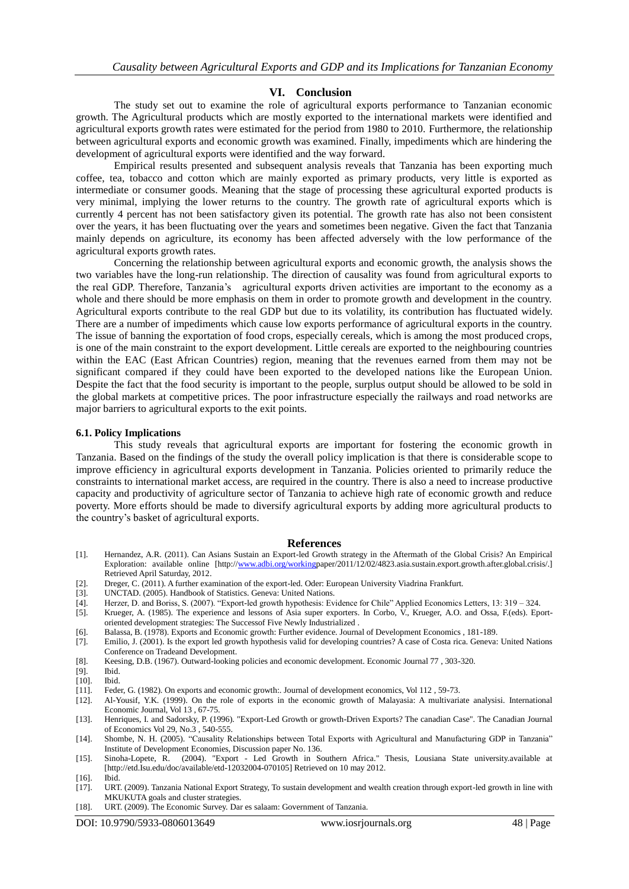#### **VI. Conclusion**

The study set out to examine the role of agricultural exports performance to Tanzanian economic growth. The Agricultural products which are mostly exported to the international markets were identified and agricultural exports growth rates were estimated for the period from 1980 to 2010. Furthermore, the relationship between agricultural exports and economic growth was examined. Finally, impediments which are hindering the development of agricultural exports were identified and the way forward.

Empirical results presented and subsequent analysis reveals that Tanzania has been exporting much coffee, tea, tobacco and cotton which are mainly exported as primary products, very little is exported as intermediate or consumer goods. Meaning that the stage of processing these agricultural exported products is very minimal, implying the lower returns to the country. The growth rate of agricultural exports which is currently 4 percent has not been satisfactory given its potential. The growth rate has also not been consistent over the years, it has been fluctuating over the years and sometimes been negative. Given the fact that Tanzania mainly depends on agriculture, its economy has been affected adversely with the low performance of the agricultural exports growth rates.

Concerning the relationship between agricultural exports and economic growth, the analysis shows the two variables have the long-run relationship. The direction of causality was found from agricultural exports to the real GDP. Therefore, Tanzania's agricultural exports driven activities are important to the economy as a whole and there should be more emphasis on them in order to promote growth and development in the country. Agricultural exports contribute to the real GDP but due to its volatility, its contribution has fluctuated widely. There are a number of impediments which cause low exports performance of agricultural exports in the country. The issue of banning the exportation of food crops, especially cereals, which is among the most produced crops, is one of the main constraint to the export development. Little cereals are exported to the neighbouring countries within the EAC (East African Countries) region, meaning that the revenues earned from them may not be significant compared if they could have been exported to the developed nations like the European Union. Despite the fact that the food security is important to the people, surplus output should be allowed to be sold in the global markets at competitive prices. The poor infrastructure especially the railways and road networks are major barriers to agricultural exports to the exit points.

#### **6.1. Policy Implications**

This study reveals that agricultural exports are important for fostering the economic growth in Tanzania. Based on the findings of the study the overall policy implication is that there is considerable scope to improve efficiency in agricultural exports development in Tanzania. Policies oriented to primarily reduce the constraints to international market access, are required in the country. There is also a need to increase productive capacity and productivity of agriculture sector of Tanzania to achieve high rate of economic growth and reduce poverty. More efforts should be made to diversify agricultural exports by adding more agricultural products to the country's basket of agricultural exports.

#### **References**

- [1]. Hernandez, A.R. (2011). Can Asians Sustain an Export-led Growth strategy in the Aftermath of the Global Crisis? An Empirical Exploration: available online [http:[//www.adbi.org/workingp](http://www.adbi.org/working)aper/2011/12/02/4823.asia.sustain.export.growth.after.global.crisis/.] Retrieved April Saturday, 2012.
- [2]. Dreger, C. (2011). A further examination of the export-led. Oder: European University Viadrina Frankfurt.
- [3]. UNCTAD. (2005). Handbook of Statistics. Geneva: United Nations.<br>[4]. Herzer, D. and Boriss, S. (2007). "Export-led growth hypothesis: Ev
- Herzer, D. and Boriss, S. (2007). "Export-led growth hypothesis: Evidence for Chile" Applied Economics Letters, 13: 319 324.
- [5]. Krueger, A. (1985). The experience and lessons of Asia super exporters. In Corbo, V., Krueger, A.O. and Ossa, F.(eds). Eportoriented development strategies: The Successof Five Newly Industrialized .
- [6]. Balassa, B. (1978). Exports and Economic growth: Further evidence. Journal of Development Economics , 181-189.
- [7]. Emilio, J. (2001). Is the export led growth hypothesis valid for developing countries? A case of Costa rica. Geneva: United Nations Conference on Tradeand Development.
- [8]. Keesing, D.B. (1967). Outward-looking policies and economic development. Economic Journal 77 , 303-320.
- $[9]$ .
- [10]. Ibid.
- [11]. Feder, G. (1982). On exports and economic growth:. Journal of development economics, Vol 112 , 59-73.
- [12]. Al-Yousif, Y.K. (1999). On the role of exports in the economic growth of Malayasia: A multivariate analysisi. International Economic Journal, Vol 13 , 67-75.
- [13]. Henriques, I. and Sadorsky, P. (1996). "Export-Led Growth or growth-Driven Exports? The canadian Case". The Canadian Journal of Economics Vol 29, No.3 , 540-555.
- [14]. Shombe, N. H. (2005). "Causality Relationships between Total Exports with Agricultural and Manufacturing GDP in Tanzania" Institute of Development Economies, Discussion paper No. 136.
- [15]. Sinoha-Lopete, R. (2004). "Export Led Growth in Southern Africa." Thesis, Lousiana State university.available at [http://etd.Isu.edu/doc/available/etd-12032004-070105] Retrieved on 10 may 2012.
- [16]. Ibid.
- [17]. URT. (2009). Tanzania National Export Strategy, To sustain development and wealth creation through export-led growth in line with MKUKUTA goals and cluster strategies.
- [18]. URT. (2009). The Economic Survey. Dar es salaam: Government of Tanzania.

DOI: 10.9790/5933-0806013649 www.iosrjournals.org 48 | Page